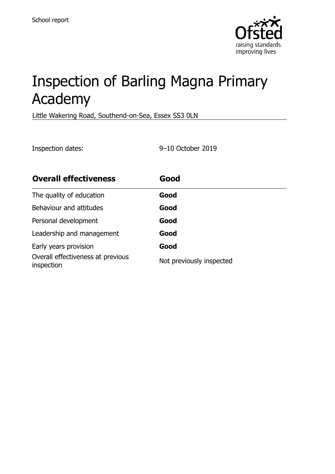

# Inspection of Barling Magna Primary Academy

Little Wakering Road, Southend-on-Sea, Essex SS3 0LN

Inspection dates: 9–10 October 2019

| <b>Overall effectiveness</b>                    | Good                     |
|-------------------------------------------------|--------------------------|
| The quality of education                        | Good                     |
| Behaviour and attitudes                         | Good                     |
| Personal development                            | Good                     |
| Leadership and management                       | Good                     |
| Early years provision                           | Good                     |
| Overall effectiveness at previous<br>inspection | Not previously inspected |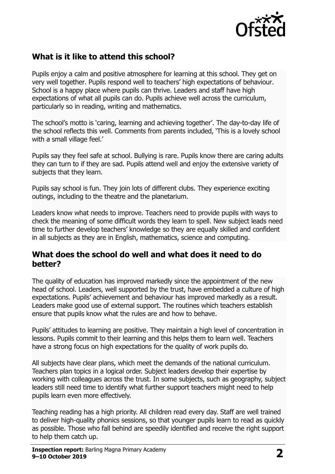

## **What is it like to attend this school?**

Pupils enjoy a calm and positive atmosphere for learning at this school. They get on very well together. Pupils respond well to teachers' high expectations of behaviour. School is a happy place where pupils can thrive. Leaders and staff have high expectations of what all pupils can do. Pupils achieve well across the curriculum, particularly so in reading, writing and mathematics.

The school's motto is 'caring, learning and achieving together'. The day-to-day life of the school reflects this well. Comments from parents included, 'This is a lovely school with a small village feel.'

Pupils say they feel safe at school. Bullying is rare. Pupils know there are caring adults they can turn to if they are sad. Pupils attend well and enjoy the extensive variety of subjects that they learn.

Pupils say school is fun. They join lots of different clubs. They experience exciting outings, including to the theatre and the planetarium.

Leaders know what needs to improve. Teachers need to provide pupils with ways to check the meaning of some difficult words they learn to spell. New subject leads need time to further develop teachers' knowledge so they are equally skilled and confident in all subjects as they are in English, mathematics, science and computing.

### **What does the school do well and what does it need to do better?**

The quality of education has improved markedly since the appointment of the new head of school. Leaders, well supported by the trust, have embedded a culture of high expectations. Pupils' achievement and behaviour has improved markedly as a result. Leaders make good use of external support. The routines which teachers establish ensure that pupils know what the rules are and how to behave.

Pupils' attitudes to learning are positive. They maintain a high level of concentration in lessons. Pupils commit to their learning and this helps them to learn well. Teachers have a strong focus on high expectations for the quality of work pupils do.

All subjects have clear plans, which meet the demands of the national curriculum. Teachers plan topics in a logical order. Subject leaders develop their expertise by working with colleagues across the trust. In some subjects, such as geography, subject leaders still need time to identify what further support teachers might need to help pupils learn even more effectively.

Teaching reading has a high priority. All children read every day. Staff are well trained to deliver high-quality phonics sessions, so that younger pupils learn to read as quickly as possible. Those who fall behind are speedily identified and receive the right support to help them catch up.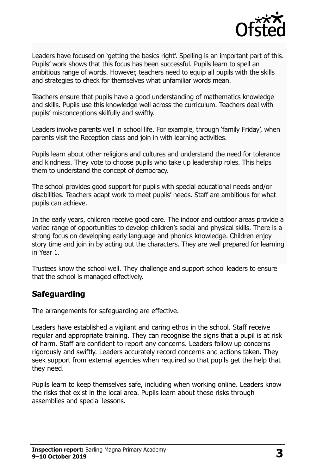

Leaders have focused on 'getting the basics right'. Spelling is an important part of this. Pupils' work shows that this focus has been successful. Pupils learn to spell an ambitious range of words. However, teachers need to equip all pupils with the skills and strategies to check for themselves what unfamiliar words mean.

Teachers ensure that pupils have a good understanding of mathematics knowledge and skills. Pupils use this knowledge well across the curriculum. Teachers deal with pupils' misconceptions skilfully and swiftly.

Leaders involve parents well in school life. For example, through 'family Friday', when parents visit the Reception class and join in with learning activities.

Pupils learn about other religions and cultures and understand the need for tolerance and kindness. They vote to choose pupils who take up leadership roles. This helps them to understand the concept of democracy.

The school provides good support for pupils with special educational needs and/or disabilities. Teachers adapt work to meet pupils' needs. Staff are ambitious for what pupils can achieve.

In the early years, children receive good care. The indoor and outdoor areas provide a varied range of opportunities to develop children's social and physical skills. There is a strong focus on developing early language and phonics knowledge. Children enjoy story time and join in by acting out the characters. They are well prepared for learning in Year 1.

Trustees know the school well. They challenge and support school leaders to ensure that the school is managed effectively.

## **Safeguarding**

The arrangements for safeguarding are effective.

Leaders have established a vigilant and caring ethos in the school. Staff receive regular and appropriate training. They can recognise the signs that a pupil is at risk of harm. Staff are confident to report any concerns. Leaders follow up concerns rigorously and swiftly. Leaders accurately record concerns and actions taken. They seek support from external agencies when required so that pupils get the help that they need.

Pupils learn to keep themselves safe, including when working online. Leaders know the risks that exist in the local area. Pupils learn about these risks through assemblies and special lessons.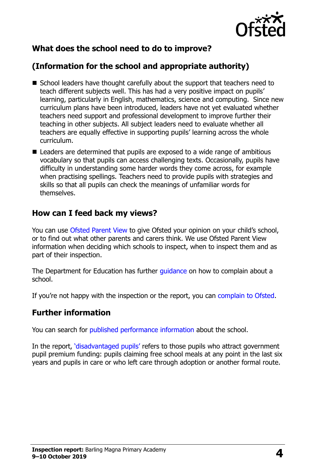

# **What does the school need to do to improve?**

# **(Information for the school and appropriate authority)**

- School leaders have thought carefully about the support that teachers need to teach different subjects well. This has had a very positive impact on pupils' learning, particularly in English, mathematics, science and computing. Since new curriculum plans have been introduced, leaders have not yet evaluated whether teachers need support and professional development to improve further their teaching in other subjects. All subject leaders need to evaluate whether all teachers are equally effective in supporting pupils' learning across the whole curriculum.
- Leaders are determined that pupils are exposed to a wide range of ambitious vocabulary so that pupils can access challenging texts. Occasionally, pupils have difficulty in understanding some harder words they come across, for example when practising spellings. Teachers need to provide pupils with strategies and skills so that all pupils can check the meanings of unfamiliar words for themselves.

#### **How can I feed back my views?**

You can use [Ofsted Parent View](http://parentview.ofsted.gov.uk/) to give Ofsted your opinion on your child's school, or to find out what other parents and carers think. We use Ofsted Parent View information when deciding which schools to inspect, when to inspect them and as part of their inspection.

The Department for Education has further quidance on how to complain about a school.

If you're not happy with the inspection or the report, you can [complain to Ofsted.](http://www.gov.uk/complain-ofsted-report)

#### **Further information**

You can search for [published performance information](http://www.compare-school-performance.service.gov.uk/) about the school.

In the report, '[disadvantaged pupils](http://www.gov.uk/guidance/pupil-premium-information-for-schools-and-alternative-provision-settings)' refers to those pupils who attract government pupil premium funding: pupils claiming free school meals at any point in the last six years and pupils in care or who left care through adoption or another formal route.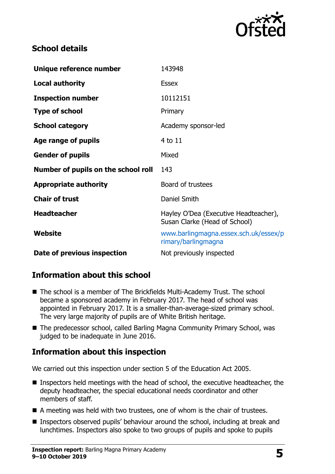

## **School details**

| Unique reference number             | 143948                                                                 |
|-------------------------------------|------------------------------------------------------------------------|
| <b>Local authority</b>              | <b>Essex</b>                                                           |
| <b>Inspection number</b>            | 10112151                                                               |
| <b>Type of school</b>               | Primary                                                                |
| <b>School category</b>              | Academy sponsor-led                                                    |
| Age range of pupils                 | 4 to 11                                                                |
| <b>Gender of pupils</b>             | Mixed                                                                  |
|                                     |                                                                        |
| Number of pupils on the school roll | 143                                                                    |
| <b>Appropriate authority</b>        | Board of trustees                                                      |
| <b>Chair of trust</b>               | Daniel Smith                                                           |
| <b>Headteacher</b>                  | Hayley O'Dea (Executive Headteacher),<br>Susan Clarke (Head of School) |
| Website                             | www.barlingmagna.essex.sch.uk/essex/p<br>rimary/barlingmagna           |

## **Information about this school**

- The school is a member of The Brickfields Multi-Academy Trust. The school became a sponsored academy in February 2017. The head of school was appointed in February 2017. It is a smaller-than-average-sized primary school. The very large majority of pupils are of White British heritage.
- The predecessor school, called Barling Magna Community Primary School, was judged to be inadequate in June 2016.

## **Information about this inspection**

We carried out this inspection under section 5 of the Education Act 2005.

- Inspectors held meetings with the head of school, the executive headteacher, the deputy headteacher, the special educational needs coordinator and other members of staff.
- A meeting was held with two trustees, one of whom is the chair of trustees.
- Inspectors observed pupils' behaviour around the school, including at break and lunchtimes. Inspectors also spoke to two groups of pupils and spoke to pupils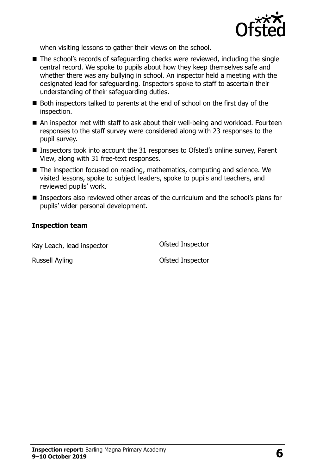

when visiting lessons to gather their views on the school.

- The school's records of safeguarding checks were reviewed, including the single central record. We spoke to pupils about how they keep themselves safe and whether there was any bullying in school. An inspector held a meeting with the designated lead for safeguarding. Inspectors spoke to staff to ascertain their understanding of their safeguarding duties.
- Both inspectors talked to parents at the end of school on the first day of the inspection.
- An inspector met with staff to ask about their well-being and workload. Fourteen responses to the staff survey were considered along with 23 responses to the pupil survey.
- Inspectors took into account the 31 responses to Ofsted's online survey, Parent View, along with 31 free-text responses.
- The inspection focused on reading, mathematics, computing and science. We visited lessons, spoke to subject leaders, spoke to pupils and teachers, and reviewed pupils' work.
- **Inspectors also reviewed other areas of the curriculum and the school's plans for** pupils' wider personal development.

#### **Inspection team**

Kay Leach, lead inspector **CEA** Ofsted Inspector

Russell Ayling **Canadian Control Control Control Control Control Control Control Control Control Control Control Control Control Control Control Control Control Control Control Control Control Control Control Control Contr**